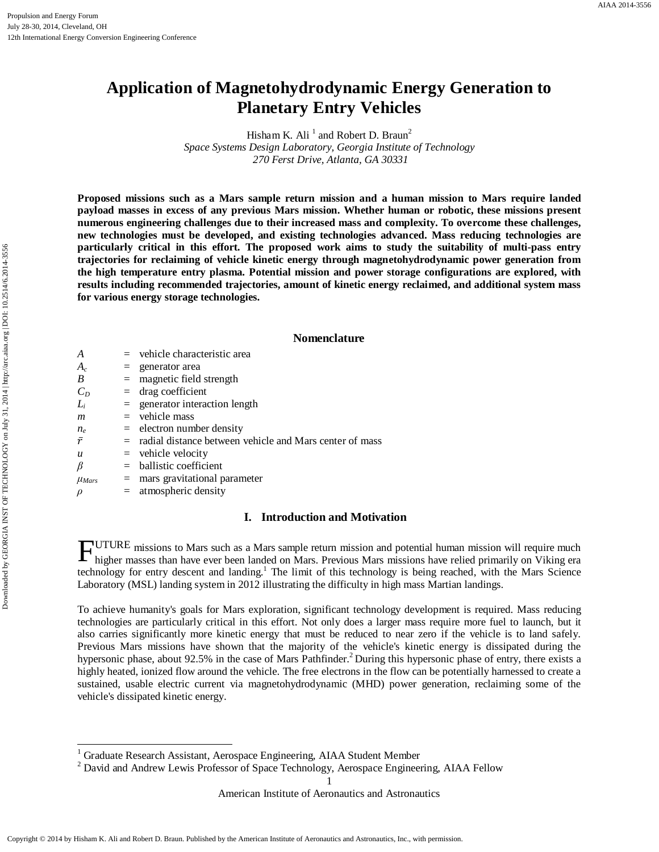# **Application of Magnetohydrodynamic Energy Generation to Planetary Entry Vehicles**

Hisham K. Ali<sup> $1$ </sup> and Robert D. Braun<sup>2</sup> *Space Systems Design Laboratory, Georgia Institute of Technology 270 Ferst Drive, Atlanta, GA 30331*

**Proposed missions such as a Mars sample return mission and a human mission to Mars require landed payload masses in excess of any previous Mars mission. Whether human or robotic, these missions present numerous engineering challenges due to their increased mass and complexity. To overcome these challenges, new technologies must be developed, and existing technologies advanced. Mass reducing technologies are particularly critical in this effort. The proposed work aims to study the suitability of multi-pass entry trajectories for reclaiming of vehicle kinetic energy through magnetohydrodynamic power generation from the high temperature entry plasma. Potential mission and power storage configurations are explored, with results including recommended trajectories, amount of kinetic energy reclaimed, and additional system mass for various energy storage technologies.** 

## **Nomenclature**

| A                |     | $=$ vehicle characteristic area                             |
|------------------|-----|-------------------------------------------------------------|
| $A_c$            |     | $=$ generator area                                          |
| B                |     | $=$ magnetic field strength                                 |
| $C_D$            |     | $=$ drag coefficient                                        |
| Li               |     | $=$ generator interaction length                            |
| m                |     | $=$ vehicle mass                                            |
| $n_e$            |     | $=$ electron number density                                 |
| $\bar{r}$        |     | $=$ radial distance between vehicle and Mars center of mass |
| $\boldsymbol{u}$ |     | $=$ vehicle velocity                                        |
| β                |     | $=$ ballistic coefficient                                   |
| $\mu_{Mars}$     | $=$ | mars gravitational parameter                                |
|                  |     | $=$ atmospheric density                                     |
|                  |     |                                                             |

# **I. Introduction and Motivation**

UTURE missions to Mars such as a Mars sample return mission and potential human mission will require much FUTURE missions to Mars such as a Mars sample return mission and potential human mission will require much higher masses than have ever been landed on Mars. Previous Mars missions have relied primarily on Viking era technology for entry descent and landing.<sup>1</sup> The limit of this technology is being reached, with the Mars Science Laboratory (MSL) landing system in 2012 illustrating the difficulty in high mass Martian landings.

To achieve humanity's goals for Mars exploration, significant technology development is required. Mass reducing technologies are particularly critical in this effort. Not only does a larger mass require more fuel to launch, but it also carries significantly more kinetic energy that must be reduced to near zero if the vehicle is to land safely. Previous Mars missions have shown that the majority of the vehicle's kinetic energy is dissipated during the hypersonic phase, about 92.5% in the case of Mars Pathfinder.<sup>2</sup> During this hypersonic phase of entry, there exists a highly heated, ionized flow around the vehicle. The free electrons in the flow can be potentially harnessed to create a sustained, usable electric current via magnetohydrodynamic (MHD) power generation, reclaiming some of the vehicle's dissipated kinetic energy.

<span id="page-0-1"></span><span id="page-0-0"></span><sup>&</sup>lt;sup>1</sup> Graduate Research Assistant, Aerospace Engineering, AIAA Student Member  $\frac{2}{3}$  David and Andrew Lewis Professor of Space Technology, Aerospace Engineering, AIAA Fellow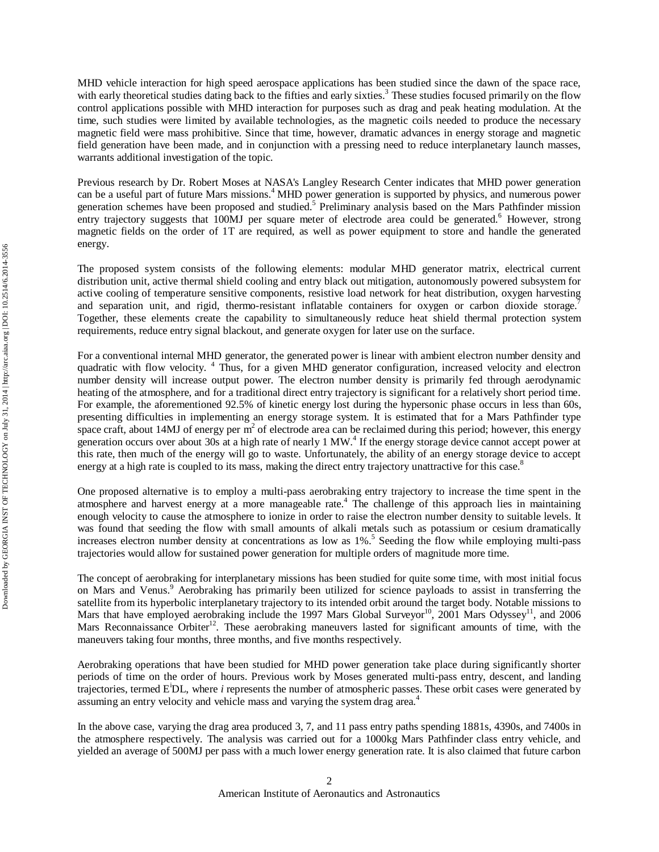MHD vehicle interaction for high speed aerospace applications has been studied since the dawn of the space race, with early theoretical studies dating back to the fifties and early sixties.<sup>3</sup> These studies focused primarily on the flow control applications possible with MHD interaction for purposes such as drag and peak heating modulation. At the time, such studies were limited by available technologies, as the magnetic coils needed to produce the necessary magnetic field were mass prohibitive. Since that time, however, dramatic advances in energy storage and magnetic field generation have been made, and in conjunction with a pressing need to reduce interplanetary launch masses, warrants additional investigation of the topic.

Previous research by Dr. Robert Moses at NASA's Langley Research Center indicates that MHD power generation can be a useful part of future Mars missions.<sup>4</sup> MHD power generation is supported by physics, and numerous power generation schemes have been proposed and studied.<sup>5</sup> Preliminary analysis based on the Mars Pathfinder mission entry trajectory suggests that 100MJ per square meter of electrode area could be generated.<sup>6</sup> However, strong magnetic fields on the order of 1T are required, as well as power equipment to store and handle the generated energy.

The proposed system consists of the following elements: modular MHD generator matrix, electrical current distribution unit, active thermal shield cooling and entry black out mitigation, autonomously powered subsystem for active cooling of temperature sensitive components, resistive load network for heat distribution, oxygen harvesting and separation unit, and rigid, thermo-resistant inflatable containers for oxygen or carbon dioxide storage. Together, these elements create the capability to simultaneously reduce heat shield thermal protection system requirements, reduce entry signal blackout, and generate oxygen for later use on the surface.

For a conventional internal MHD generator, the generated power is linear with ambient electron number density and quadratic with flow velocity. <sup>4</sup> Thus, for a given MHD generator configuration, increased velocity and electron number density will increase output power. The electron number density is primarily fed through aerodynamic heating of the atmosphere, and for a traditional direct entry trajectory is significant for a relatively short period time. For example, the aforementioned 92.5% of kinetic energy lost during the hypersonic phase occurs in less than 60s, presenting difficulties in implementing an energy storage system. It is estimated that for a Mars Pathfinder type space craft, about 14MJ of energy per  $m<sup>2</sup>$  of electrode area can be reclaimed during this period; however, this energy generation occurs over about 30s at a high rate of nearly 1 MW.4 If the energy storage device cannot accept power at this rate, then much of the energy will go to waste. Unfortunately, the ability of an energy storage device to accept energy at a high rate is coupled to its mass, making the direct entry trajectory unattractive for this case.<sup>8</sup>

One proposed alternative is to employ a multi-pass aerobraking entry trajectory to increase the time spent in the atmosphere and harvest energy at a more manageable rate.<sup>4</sup> The challenge of this approach lies in maintaining enough velocity to cause the atmosphere to ionize in order to raise the electron number density to suitable levels. It was found that seeding the flow with small amounts of alkali metals such as potassium or cesium dramatically increases electron number density at concentrations as low as 1%. <sup>5</sup> Seeding the flow while employing multi-pass trajectories would allow for sustained power generation for multiple orders of magnitude more time.

The concept of aerobraking for interplanetary missions has been studied for quite some time, with most initial focus on Mars and Venus.<sup>9</sup> Aerobraking has primarily been utilized for science payloads to assist in transferring the satellite from its hyperbolic interplanetary trajectory to its intended orbit around the target body. Notable missions to Mars that have employed aerobraking include the 1997 Mars Global Surveyor<sup>10</sup>, 2001 Mars Odyssey<sup>11</sup>, and 2006 Mars Reconnaissance Orbiter<sup>12</sup>. These aerobraking maneuvers lasted for significant amounts of time, with the maneuvers taking four months, three months, and five months respectively.

Aerobraking operations that have been studied for MHD power generation take place during significantly shorter periods of time on the order of hours. Previous work by Moses generated multi-pass entry, descent, and landing trajectories, termed E<sup>i</sup> DL, where *i* represents the number of atmospheric passes. These orbit cases were generated by assuming an entry velocity and vehicle mass and varying the system drag area.<sup>4</sup>

In the above case, varying the drag area produced 3, 7, and 11 pass entry paths spending 1881s, 4390s, and 7400s in the atmosphere respectively. The analysis was carried out for a 1000kg Mars Pathfinder class entry vehicle, and yielded an average of 500MJ per pass with a much lower energy generation rate. It is also claimed that future carbon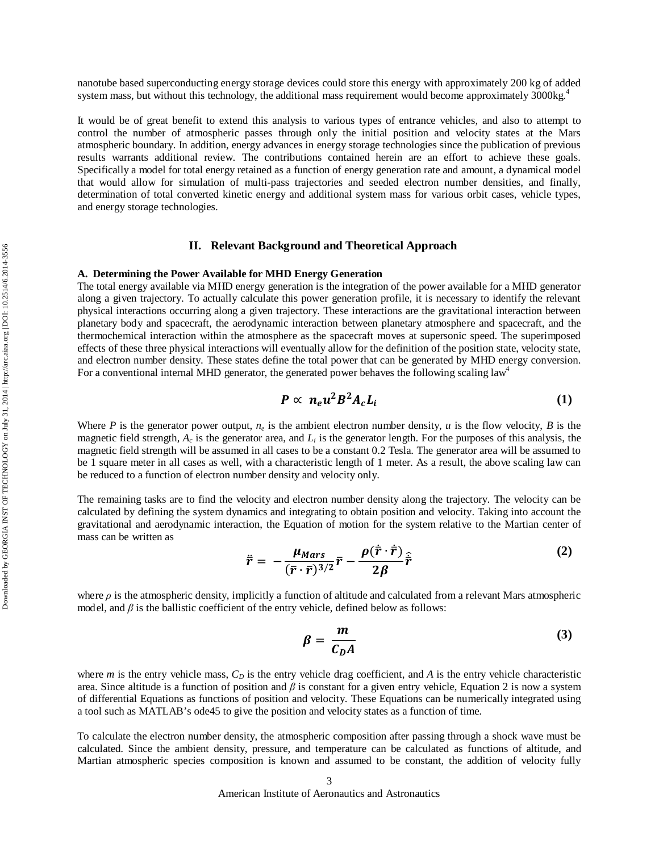nanotube based superconducting energy storage devices could store this energy with approximately 200 kg of added system mass, but without this technology, the additional mass requirement would become approximately 3000kg.<sup>4</sup>

It would be of great benefit to extend this analysis to various types of entrance vehicles, and also to attempt to control the number of atmospheric passes through only the initial position and velocity states at the Mars atmospheric boundary. In addition, energy advances in energy storage technologies since the publication of previous results warrants additional review. The contributions contained herein are an effort to achieve these goals. Specifically a model for total energy retained as a function of energy generation rate and amount, a dynamical model that would allow for simulation of multi-pass trajectories and seeded electron number densities, and finally, determination of total converted kinetic energy and additional system mass for various orbit cases, vehicle types, and energy storage technologies.

### **II. Relevant Background and Theoretical Approach**

#### **A. Determining the Power Available for MHD Energy Generation**

The total energy available via MHD energy generation is the integration of the power available for a MHD generator along a given trajectory. To actually calculate this power generation profile, it is necessary to identify the relevant physical interactions occurring along a given trajectory. These interactions are the gravitational interaction between planetary body and spacecraft, the aerodynamic interaction between planetary atmosphere and spacecraft, and the thermochemical interaction within the atmosphere as the spacecraft moves at supersonic speed. The superimposed effects of these three physical interactions will eventually allow for the definition of the position state, velocity state, and electron number density. These states define the total power that can be generated by MHD energy conversion. For a conventional internal MHD generator, the generated power behaves the following scaling law<sup>4</sup>

$$
P \propto n_e u^2 B^2 A_c L_i \tag{1}
$$

Where *P* is the generator power output,  $n_e$  is the ambient electron number density, *u* is the flow velocity, *B* is the magnetic field strength,  $A_c$  is the generator area, and  $L_i$  is the generator length. For the purposes of this analysis, the magnetic field strength will be assumed in all cases to be a constant 0.2 Tesla. The generator area will be assumed to be 1 square meter in all cases as well, with a characteristic length of 1 meter. As a result, the above scaling law can be reduced to a function of electron number density and velocity only.

The remaining tasks are to find the velocity and electron number density along the trajectory. The velocity can be calculated by defining the system dynamics and integrating to obtain position and velocity. Taking into account the gravitational and aerodynamic interaction, the Equation of motion for the system relative to the Martian center of mass can be written as

$$
\ddot{\vec{r}} = -\frac{\mu_{Mars}}{(\bar{r}\cdot\vec{r})^{3/2}}\bar{r} - \frac{\rho(\dot{\vec{r}}\cdot\dot{\vec{r}})}{2\beta}\hat{\vec{r}} \tag{2}
$$

where *ρ* is the atmospheric density, implicitly a function of altitude and calculated from a relevant Mars atmospheric model, and  $\beta$  is the ballistic coefficient of the entry vehicle, defined below as follows:

$$
\beta = \frac{m}{C_D A} \tag{3}
$$

where  $m$  is the entry vehicle mass,  $C_D$  is the entry vehicle drag coefficient, and  $A$  is the entry vehicle characteristic area. Since altitude is a function of position and  $\beta$  is constant for a given entry vehicle, Equation 2 is now a system of differential Equations as functions of position and velocity. These Equations can be numerically integrated using a tool such as MATLAB's ode45 to give the position and velocity states as a function of time.

To calculate the electron number density, the atmospheric composition after passing through a shock wave must be calculated. Since the ambient density, pressure, and temperature can be calculated as functions of altitude, and Martian atmospheric species composition is known and assumed to be constant, the addition of velocity fully

American Institute of Aeronautics and Astronautics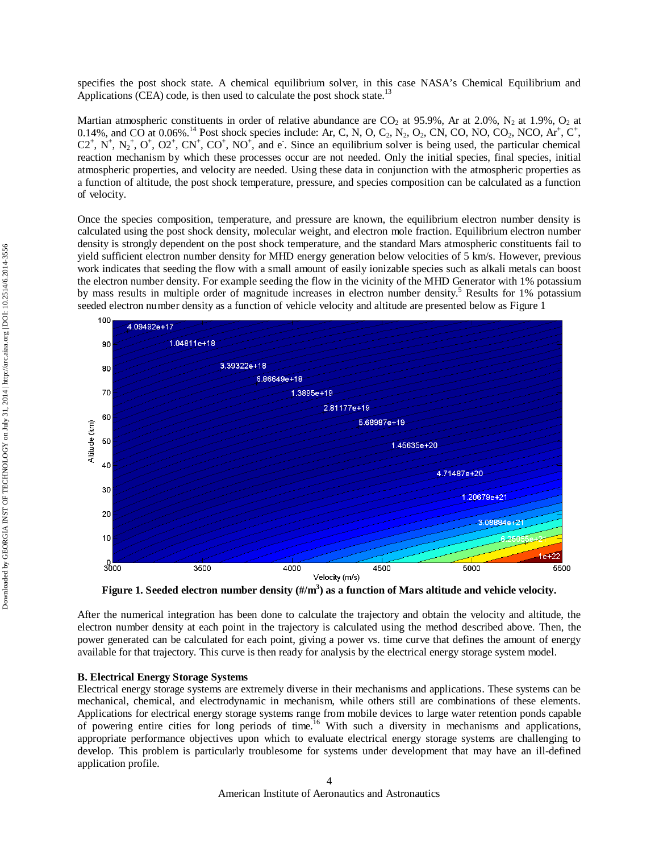specifies the post shock state. A chemical equilibrium solver, in this case NASA's Chemical Equilibrium and Applications (CEA) code, is then used to calculate the post shock state.<sup>13</sup>

Martian atmospheric constituents in order of relative abundance are  $CO_2$  at 95.9%, Ar at 2.0%, N<sub>2</sub> at 1.9%, O<sub>2</sub> at 0.14%, and CO at 0.06%.<sup>14</sup> Post shock species include: Ar, C, N, O, C<sub>2</sub>, N<sub>2</sub>, O<sub>2</sub>, CN, CO, NO, CO<sub>2</sub>, NCO, Ar<sup>+</sup>, C<sup>+</sup>,  $C2^+$ , N<sup>+</sup>, N<sub>2</sub><sup>+</sup>, O<sup>+</sup>, O2<sup>+</sup>, CN<sup>+</sup>, CO<sup>+</sup>, NO<sup>+</sup>, and e<sup>-</sup>. Since an equilibrium solver is being used, the particular chemical reaction mechanism by which these processes occur are not needed. Only the initial species, final species, initial atmospheric properties, and velocity are needed. Using these data in conjunction with the atmospheric properties as a function of altitude, the post shock temperature, pressure, and species composition can be calculated as a function of velocity.

Once the species composition, temperature, and pressure are known, the equilibrium electron number density is calculated using the post shock density, molecular weight, and electron mole fraction. Equilibrium electron number density is strongly dependent on the post shock temperature, and the standard Mars atmospheric constituents fail to yield sufficient electron number density for MHD energy generation below velocities of 5 km/s. However, previous work indicates that seeding the flow with a small amount of easily ionizable species such as alkali metals can boost the electron number density. For example seeding the flow in the vicinity of the MHD Generator with 1% potassium by mass results in multiple order of magnitude increases in electron number density.<sup>5</sup> Results for 1% potassium seeded electron number density as a function of vehicle velocity and altitude are presented below as Figure 1



**Figure 1. Seeded electron number density (#/m3 ) as a function of Mars altitude and vehicle velocity.**

After the numerical integration has been done to calculate the trajectory and obtain the velocity and altitude, the electron number density at each point in the trajectory is calculated using the method described above. Then, the power generated can be calculated for each point, giving a power vs. time curve that defines the amount of energy available for that trajectory. This curve is then ready for analysis by the electrical energy storage system model.

#### **B. Electrical Energy Storage Systems**

Electrical energy storage systems are extremely diverse in their mechanisms and applications. These systems can be mechanical, chemical, and electrodynamic in mechanism, while others still are combinations of these elements. Applications for electrical energy storage systems range from mobile devices to large water retention ponds capable of powering entire cities for long periods of time.<sup>16</sup> With such a diversity in mechanisms and applications, appropriate performance objectives upon which to evaluate electrical energy storage systems are challenging to develop. This problem is particularly troublesome for systems under development that may have an ill-defined application profile.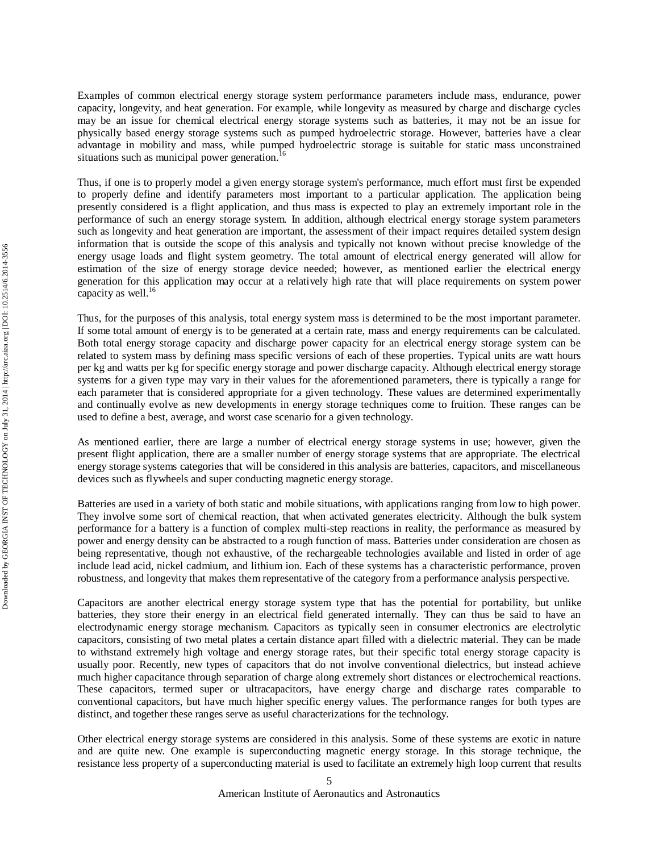Examples of common electrical energy storage system performance parameters include mass, endurance, power capacity, longevity, and heat generation. For example, while longevity as measured by charge and discharge cycles may be an issue for chemical electrical energy storage systems such as batteries, it may not be an issue for physically based energy storage systems such as pumped hydroelectric storage. However, batteries have a clear advantage in mobility and mass, while pumped hydroelectric storage is suitable for static mass unconstrained situations such as municipal power generation.<sup>16</sup>

Thus, if one is to properly model a given energy storage system's performance, much effort must first be expended to properly define and identify parameters most important to a particular application. The application being presently considered is a flight application, and thus mass is expected to play an extremely important role in the performance of such an energy storage system. In addition, although electrical energy storage system parameters such as longevity and heat generation are important, the assessment of their impact requires detailed system design information that is outside the scope of this analysis and typically not known without precise knowledge of the energy usage loads and flight system geometry. The total amount of electrical energy generated will allow for estimation of the size of energy storage device needed; however, as mentioned earlier the electrical energy generation for this application may occur at a relatively high rate that will place requirements on system power capacity as well. $16$ 

Thus, for the purposes of this analysis, total energy system mass is determined to be the most important parameter. If some total amount of energy is to be generated at a certain rate, mass and energy requirements can be calculated. Both total energy storage capacity and discharge power capacity for an electrical energy storage system can be related to system mass by defining mass specific versions of each of these properties. Typical units are watt hours per kg and watts per kg for specific energy storage and power discharge capacity. Although electrical energy storage systems for a given type may vary in their values for the aforementioned parameters, there is typically a range for each parameter that is considered appropriate for a given technology. These values are determined experimentally and continually evolve as new developments in energy storage techniques come to fruition. These ranges can be used to define a best, average, and worst case scenario for a given technology.

As mentioned earlier, there are large a number of electrical energy storage systems in use; however, given the present flight application, there are a smaller number of energy storage systems that are appropriate. The electrical energy storage systems categories that will be considered in this analysis are batteries, capacitors, and miscellaneous devices such as flywheels and super conducting magnetic energy storage.

Batteries are used in a variety of both static and mobile situations, with applications ranging from low to high power. They involve some sort of chemical reaction, that when activated generates electricity. Although the bulk system performance for a battery is a function of complex multi-step reactions in reality, the performance as measured by power and energy density can be abstracted to a rough function of mass. Batteries under consideration are chosen as being representative, though not exhaustive, of the rechargeable technologies available and listed in order of age include lead acid, nickel cadmium, and lithium ion. Each of these systems has a characteristic performance, proven robustness, and longevity that makes them representative of the category from a performance analysis perspective.

Capacitors are another electrical energy storage system type that has the potential for portability, but unlike batteries, they store their energy in an electrical field generated internally. They can thus be said to have an electrodynamic energy storage mechanism. Capacitors as typically seen in consumer electronics are electrolytic capacitors, consisting of two metal plates a certain distance apart filled with a dielectric material. They can be made to withstand extremely high voltage and energy storage rates, but their specific total energy storage capacity is usually poor. Recently, new types of capacitors that do not involve conventional dielectrics, but instead achieve much higher capacitance through separation of charge along extremely short distances or electrochemical reactions. These capacitors, termed super or ultracapacitors, have energy charge and discharge rates comparable to conventional capacitors, but have much higher specific energy values. The performance ranges for both types are distinct, and together these ranges serve as useful characterizations for the technology.

Other electrical energy storage systems are considered in this analysis. Some of these systems are exotic in nature and are quite new. One example is superconducting magnetic energy storage. In this storage technique, the resistance less property of a superconducting material is used to facilitate an extremely high loop current that results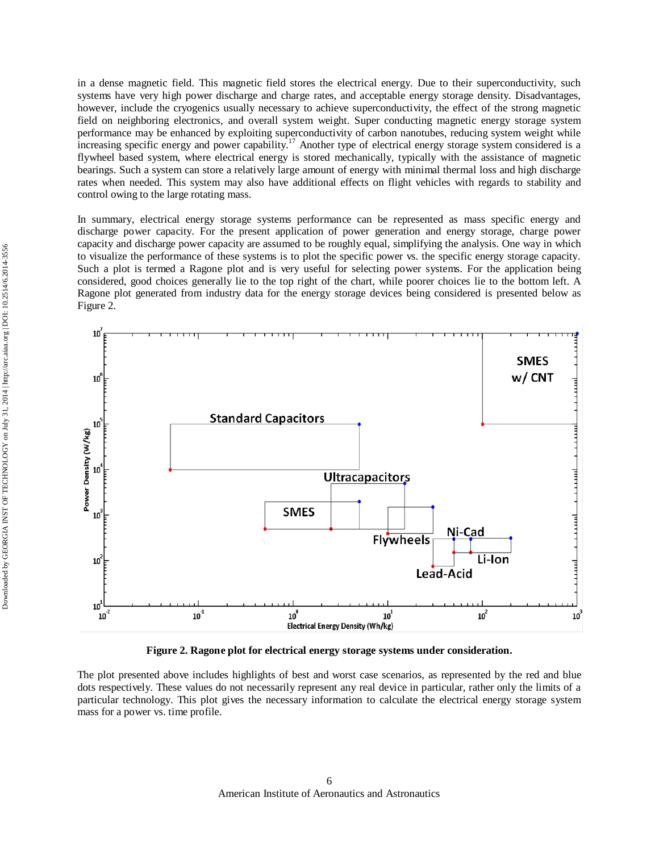in a dense magnetic field. This magnetic field stores the electrical energy. Due to their superconductivity, such systems have very high power discharge and charge rates, and acceptable energy storage density. Disadvantages, however, include the cryogenics usually necessary to achieve superconductivity, the effect of the strong magnetic field on neighboring electronics, and overall system weight. Super conducting magnetic energy storage system performance may be enhanced by exploiting superconductivity of carbon nanotubes, reducing system weight while increasing specific energy and power capability.<sup>17</sup> Another type of electrical energy storage system considered is a flywheel based system, where electrical energy is stored mechanically, typically with the assistance of magnetic bearings. Such a system can store a relatively large amount of energy with minimal thermal loss and high discharge rates when needed. This system may also have additional effects on flight vehicles with regards to stability and control owing to the large rotating mass.

In summary, electrical energy storage systems performance can be represented as mass specific energy and discharge power capacity. For the present application of power generation and energy storage, charge power capacity and discharge power capacity are assumed to be roughly equal, simplifying the analysis. One way in which to visualize the performance of these systems is to plot the specific power vs. the specific energy storage capacity. Such a plot is termed a Ragone plot and is very useful for selecting power systems. For the application being considered, good choices generally lie to the top right of the chart, while poorer choices lie to the bottom left. A Ragone plot generated from industry data for the energy storage devices being considered is presented below as Figure 2.



**Figure 2. Ragone plot for electrical energy storage systems under consideration.**

The plot presented above includes highlights of best and worst case scenarios, as represented by the red and blue dots respectively. These values do not necessarily represent any real device in particular, rather only the limits of a particular technology. This plot gives the necessary information to calculate the electrical energy storage system mass for a power vs. time profile.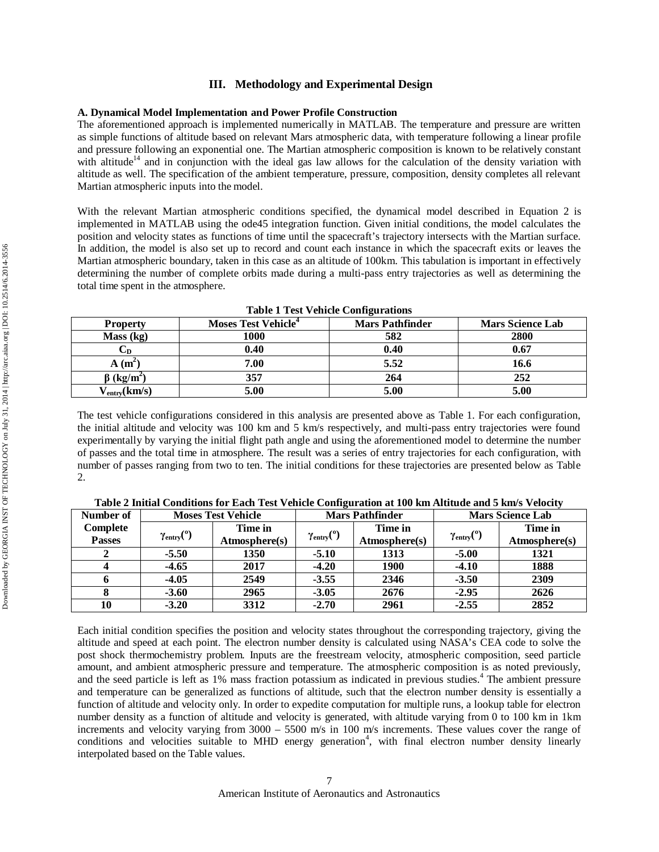## **III. Methodology and Experimental Design**

## **A. Dynamical Model Implementation and Power Profile Construction**

The aforementioned approach is implemented numerically in MATLAB. The temperature and pressure are written as simple functions of altitude based on relevant Mars atmospheric data, with temperature following a linear profile and pressure following an exponential one. The Martian atmospheric composition is known to be relatively constant with altitude<sup>14</sup> and in conjunction with the ideal gas law allows for the calculation of the density variation with altitude as well. The specification of the ambient temperature, pressure, composition, density completes all relevant Martian atmospheric inputs into the model.

With the relevant Martian atmospheric conditions specified, the dynamical model described in Equation 2 is implemented in MATLAB using the ode45 integration function. Given initial conditions, the model calculates the position and velocity states as functions of time until the spacecraft's trajectory intersects with the Martian surface. In addition, the model is also set up to record and count each instance in which the spacecraft exits or leaves the Martian atmospheric boundary, taken in this case as an altitude of 100km. This tabulation is important in effectively determining the number of complete orbits made during a multi-pass entry trajectories as well as determining the total time spent in the atmosphere.

|                                 | -----------                     |                        |                         |  |  |  |  |  |
|---------------------------------|---------------------------------|------------------------|-------------------------|--|--|--|--|--|
| <b>Property</b>                 | Moses Test Vehicle <sup>4</sup> | <b>Mars Pathfinder</b> | <b>Mars Science Lab</b> |  |  |  |  |  |
| Mass (kg)                       | 1000                            | 582                    | 2800                    |  |  |  |  |  |
| └D                              | 0.40                            | 0.40                   | 0.67                    |  |  |  |  |  |
| $A(m^2)$                        | 7.00                            | 5.52                   | 16.6                    |  |  |  |  |  |
| $\beta$ (kg/m <sup>2</sup> )    | 357                             | 264                    | 252                     |  |  |  |  |  |
| $V_{\text{entry}}(\text{km/s})$ | 5.00                            | 5.00                   | 5.00                    |  |  |  |  |  |

**Table 1 Test Vehicle Configurations**

The test vehicle configurations considered in this analysis are presented above as Table 1. For each configuration, the initial altitude and velocity was 100 km and 5 km/s respectively, and multi-pass entry trajectories were found experimentally by varying the initial flight path angle and using the aforementioned model to determine the number of passes and the total time in atmosphere. The result was a series of entry trajectories for each configuration, with number of passes ranging from two to ten. The initial conditions for these trajectories are presented below as Table 2.

| Number of     |                               | <b>Moses Test Vehicle</b> |                                    | <b>Mars Pathfinder</b> | <b>Mars Science Lab</b>    |               |
|---------------|-------------------------------|---------------------------|------------------------------------|------------------------|----------------------------|---------------|
| Complete      |                               | Time in                   | $\gamma_{\text{entry}}(^\text{o})$ | Time in                | $\gamma_{\text{entry}}(°)$ | Time in       |
| <b>Passes</b> | $\gamma_{\text{entry}}(^{0})$ | Atmosphere(s)             |                                    | Atmosphere(s)          |                            | Atmosphere(s) |
| $\mathbf{2}$  | $-5.50$                       | 1350                      | $-5.10$                            | 1313                   | $-5.00$                    | 1321          |
| 4             | $-4.65$                       | 2017                      | $-4.20$                            | <b>1900</b>            | $-4.10$                    | 1888          |
| 6             | $-4.05$                       | 2549                      | $-3.55$                            | 2346                   | $-3.50$                    | 2309          |
| 8             | $-3.60$                       | 2965                      | $-3.05$                            | 2676                   | $-2.95$                    | 2626          |
| 10            | $-3.20$                       | 3312                      | $-2.70$                            | 2961                   | $-2.55$                    | 2852          |

**Table 2 Initial Conditions for Each Test Vehicle Configuration at 100 km Altitude and 5 km/s Velocity**

Each initial condition specifies the position and velocity states throughout the corresponding trajectory, giving the altitude and speed at each point. The electron number density is calculated using NASA's CEA code to solve the post shock thermochemistry problem. Inputs are the freestream velocity, atmospheric composition, seed particle amount, and ambient atmospheric pressure and temperature. The atmospheric composition is as noted previously, and the seed particle is left as 1% mass fraction potassium as indicated in previous studies.<sup>4</sup> The ambient pressure and temperature can be generalized as functions of altitude, such that the electron number density is essentially a function of altitude and velocity only. In order to expedite computation for multiple runs, a lookup table for electron number density as a function of altitude and velocity is generated, with altitude varying from 0 to 100 km in 1km increments and velocity varying from 3000 – 5500 m/s in 100 m/s increments. These values cover the range of conditions and velocities suitable to MHD energy generation<sup>4</sup>, with final electron number density linearly interpolated based on the Table values.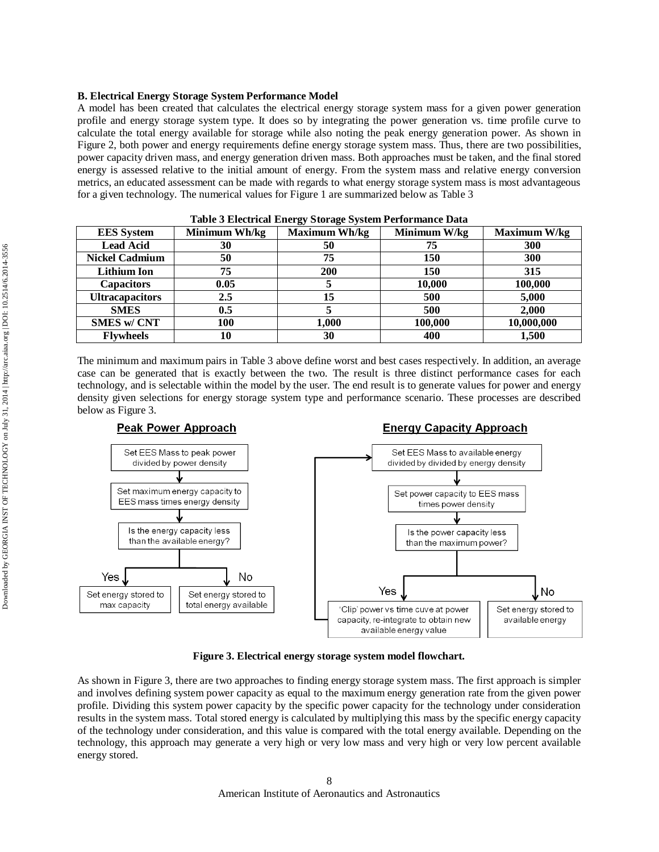## **B. Electrical Energy Storage System Performance Model**

A model has been created that calculates the electrical energy storage system mass for a given power generation profile and energy storage system type. It does so by integrating the power generation vs. time profile curve to calculate the total energy available for storage while also noting the peak energy generation power. As shown in Figure 2, both power and energy requirements define energy storage system mass. Thus, there are two possibilities, power capacity driven mass, and energy generation driven mass. Both approaches must be taken, and the final stored energy is assessed relative to the initial amount of energy. From the system mass and relative energy conversion metrics, an educated assessment can be made with regards to what energy storage system mass is most advantageous for a given technology. The numerical values for Figure 1 are summarized below as Table 3

| <b>EES</b> System      | Minimum Wh/kg | <b>Maximum Wh/kg</b> | Minimum W/kg | Maximum W/kg |  |  |  |
|------------------------|---------------|----------------------|--------------|--------------|--|--|--|
| <b>Lead Acid</b>       | 30            | 50                   | 75           | 300          |  |  |  |
| <b>Nickel Cadmium</b>  | 50            | 75                   | 150          | 300          |  |  |  |
| <b>Lithium Ion</b>     | 75            | 200                  | 150          | 315          |  |  |  |
| <b>Capacitors</b>      | 0.05          |                      | 10,000       | 100,000      |  |  |  |
| <b>Ultracapacitors</b> | $2.5\,$       | 15                   | 500          | 5,000        |  |  |  |
| <b>SMES</b>            | 0.5           |                      | 500          | 2,000        |  |  |  |
| <b>SMES w/ CNT</b>     | 100           | 1,000                | 100,000      | 10,000,000   |  |  |  |
| <b>Flywheels</b>       | 10            | 30                   | 400          | 1,500        |  |  |  |

**Table 3 Electrical Energy Storage System Performance Data**

The minimum and maximum pairs in Table 3 above define worst and best cases respectively. In addition, an average case can be generated that is exactly between the two. The result is three distinct performance cases for each technology, and is selectable within the model by the user. The end result is to generate values for power and energy density given selections for energy storage system type and performance scenario. These processes are described below as Figure 3.



**Figure 3. Electrical energy storage system model flowchart.**

As shown in Figure 3, there are two approaches to finding energy storage system mass. The first approach is simpler and involves defining system power capacity as equal to the maximum energy generation rate from the given power profile. Dividing this system power capacity by the specific power capacity for the technology under consideration results in the system mass. Total stored energy is calculated by multiplying this mass by the specific energy capacity of the technology under consideration, and this value is compared with the total energy available. Depending on the technology, this approach may generate a very high or very low mass and very high or very low percent available energy stored.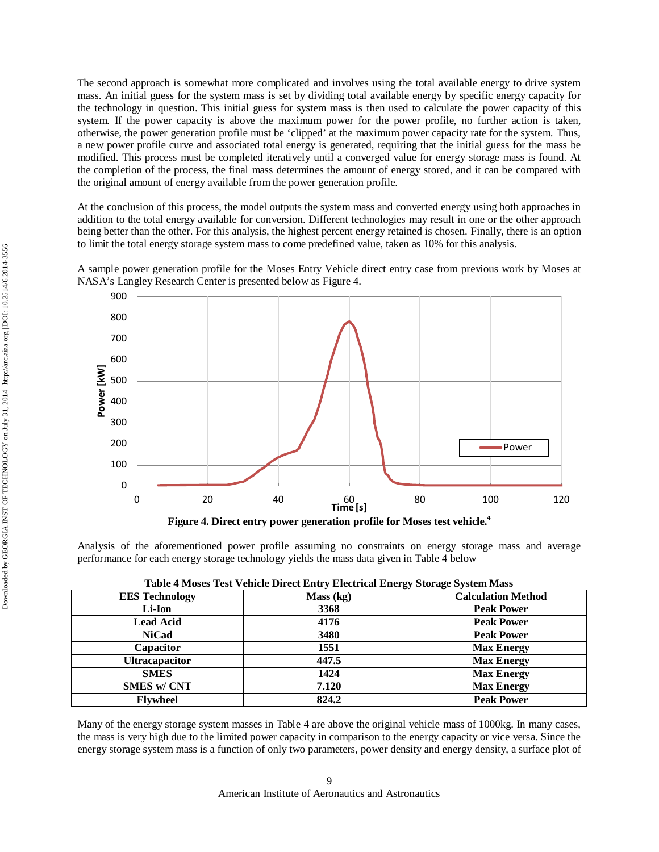The second approach is somewhat more complicated and involves using the total available energy to drive system mass. An initial guess for the system mass is set by dividing total available energy by specific energy capacity for the technology in question. This initial guess for system mass is then used to calculate the power capacity of this system. If the power capacity is above the maximum power for the power profile, no further action is taken, otherwise, the power generation profile must be 'clipped' at the maximum power capacity rate for the system. Thus, a new power profile curve and associated total energy is generated, requiring that the initial guess for the mass be modified. This process must be completed iteratively until a converged value for energy storage mass is found. At the completion of the process, the final mass determines the amount of energy stored, and it can be compared with the original amount of energy available from the power generation profile.

At the conclusion of this process, the model outputs the system mass and converted energy using both approaches in addition to the total energy available for conversion. Different technologies may result in one or the other approach being better than the other. For this analysis, the highest percent energy retained is chosen. Finally, there is an option to limit the total energy storage system mass to come predefined value, taken as 10% for this analysis.

A sample power generation profile for the Moses Entry Vehicle direct entry case from previous work by Moses at NASA's Langley Research Center is presented below as Figure 4.



Analysis of the aforementioned power profile assuming no constraints on energy storage mass and average

performance for each energy storage technology yields the mass data given in Table 4 below

| <b>EES Technology</b> | Mass (kg) | <b>Calculation Method</b> |
|-----------------------|-----------|---------------------------|
| Li-Ion                | 3368      | <b>Peak Power</b>         |
| <b>Lead Acid</b>      | 4176      | <b>Peak Power</b>         |
| <b>NiCad</b>          | 3480      | <b>Peak Power</b>         |
| Capacitor             | 1551      | <b>Max Energy</b>         |
| <b>Ultracapacitor</b> | 447.5     | <b>Max Energy</b>         |
| <b>SMES</b>           | 1424      | <b>Max Energy</b>         |
| <b>SMES w/ CNT</b>    | 7.120     | <b>Max Energy</b>         |
| <b>Flywheel</b>       | 824.2     | <b>Peak Power</b>         |

Many of the energy storage system masses in Table 4 are above the original vehicle mass of 1000kg. In many cases, the mass is very high due to the limited power capacity in comparison to the energy capacity or vice versa. Since the energy storage system mass is a function of only two parameters, power density and energy density, a surface plot of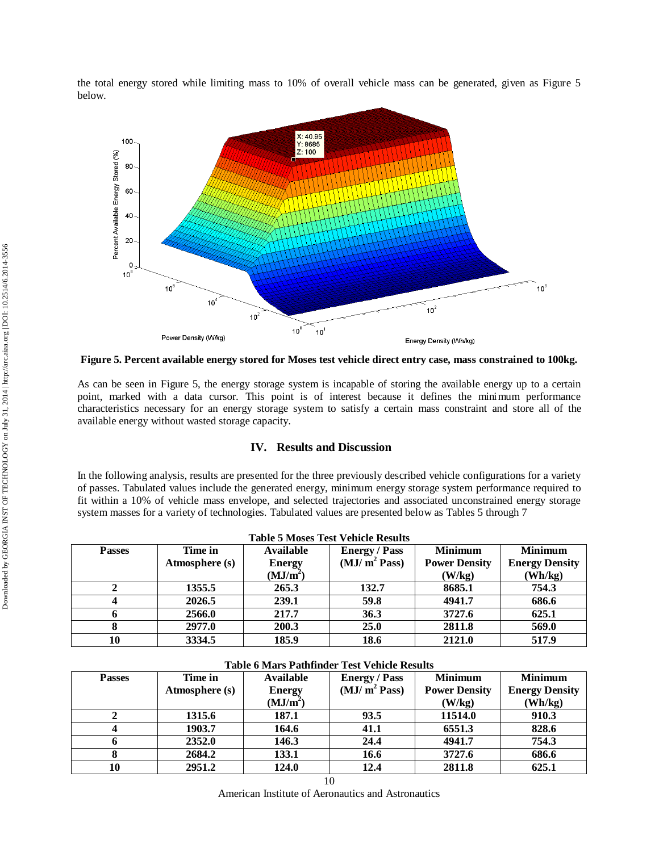the total energy stored while limiting mass to 10% of overall vehicle mass can be generated, given as Figure 5 below.



**Figure 5. Percent available energy stored for Moses test vehicle direct entry case, mass constrained to 100kg.**

As can be seen in Figure 5, the energy storage system is incapable of storing the available energy up to a certain point, marked with a data cursor. This point is of interest because it defines the minimum performance characteristics necessary for an energy storage system to satisfy a certain mass constraint and store all of the available energy without wasted storage capacity.

## **IV. Results and Discussion**

In the following analysis, results are presented for the three previously described vehicle configurations for a variety of passes. Tabulated values include the generated energy, minimum energy storage system performance required to fit within a 10% of vehicle mass envelope, and selected trajectories and associated unconstrained energy storage system masses for a variety of technologies. Tabulated values are presented below as Tables 5 through 7

|               | <b>Table 5 Moses Test Vehicle Results</b> |                      |                          |                      |                       |  |  |  |
|---------------|-------------------------------------------|----------------------|--------------------------|----------------------|-----------------------|--|--|--|
| <b>Passes</b> | Time in                                   | <b>Available</b>     | <b>Energy</b> / Pass     | <b>Minimum</b>       | <b>Minimum</b>        |  |  |  |
|               | Atmosphere (s)                            | <b>Energy</b>        | (MJ/m <sup>2</sup> Pass) | <b>Power Density</b> | <b>Energy Density</b> |  |  |  |
|               |                                           | (MJ/m <sup>2</sup> ) |                          | (W/kg)               | $(\mathbf{Wh/kg})$    |  |  |  |
|               | 1355.5                                    | 265.3                | 132.7                    | 8685.1               | 754.3                 |  |  |  |
| 4             | 2026.5                                    | 239.1                | 59.8                     | 4941.7               | 686.6                 |  |  |  |
| 6             | 2566.0                                    | 217.7                | 36.3                     | 3727.6               | 625.1                 |  |  |  |
| 8             | 2977.0                                    | 200.3                | 25.0                     | 2811.8               | 569.0                 |  |  |  |
| 10            | 3334.5                                    | 185.9                | 18.6                     | 2121.0               | 517.9                 |  |  |  |

| <b>Passes</b> | Time in        | Available            | <b>Energy / Pass</b>     | <b>Minimum</b>       | <b>Minimum</b>        |  |  |  |
|---------------|----------------|----------------------|--------------------------|----------------------|-----------------------|--|--|--|
|               | Atmosphere (s) | <b>Energy</b>        | (MJ/m <sup>2</sup> Pass) | <b>Power Density</b> | <b>Energy Density</b> |  |  |  |
|               |                | (MJ/m <sup>2</sup> ) |                          | (W/kg)               | (Wh/kg)               |  |  |  |
|               | 1315.6         | 187.1                | 93.5                     | 11514.0              | 910.3                 |  |  |  |
|               | 1903.7         | 164.6                | 41.1                     | 6551.3               | 828.6                 |  |  |  |
| o             | 2352.0         | 146.3                | 24.4                     | 4941.7               | 754.3                 |  |  |  |
|               | 2684.2         | 133.1                | 16.6                     | 3727.6               | 686.6                 |  |  |  |
| 10            | 2951.2         | 124.0                | 12.4                     | 2811.8               | 625.1                 |  |  |  |

## **Table 6 Mars Pathfinder Test Vehicle Results**

10

American Institute of Aeronautics and Astronautics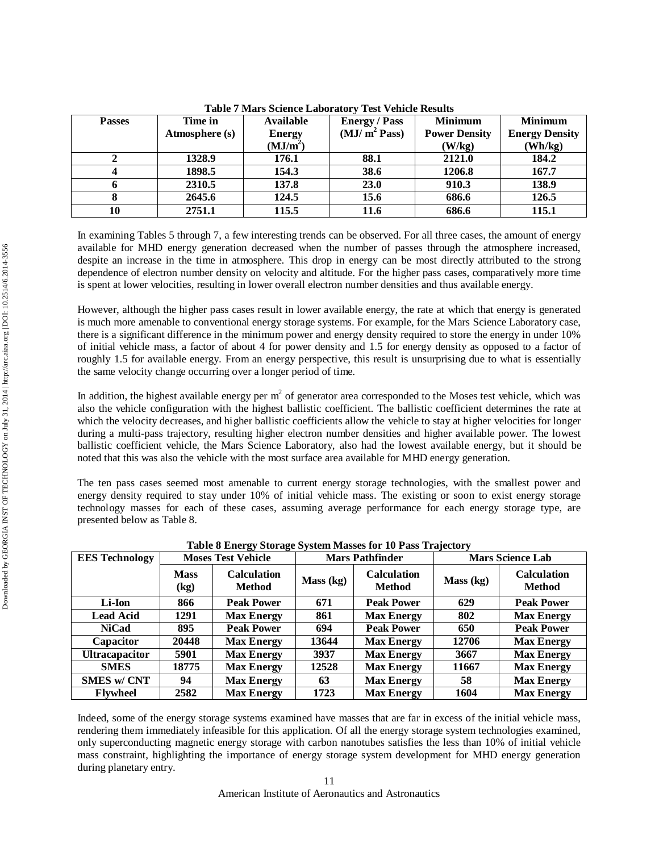| <b>Passes</b> | Time in        | Available            | <b>Energy / Pass</b>     | <b>Minimum</b>       | <b>Minimum</b>        |
|---------------|----------------|----------------------|--------------------------|----------------------|-----------------------|
|               | Atmosphere (s) | <b>Energy</b>        | (MJ/m <sup>2</sup> Pass) | <b>Power Density</b> | <b>Energy Density</b> |
|               |                | (MJ/m <sup>2</sup> ) |                          | (W/kg)               | (Wh/kg)               |
|               | 1328.9         | 176.1                | 88.1                     | 2121.0               | 184.2                 |
| 4             | 1898.5         | 154.3                | 38.6                     | 1206.8               | 167.7                 |
|               | 2310.5         | 137.8                | 23.0                     | 910.3                | 138.9                 |
| 8             | 2645.6         | 124.5                | 15.6                     | 686.6                | 126.5                 |
| 10            | 2751.1         | 115.5                | 11.6                     | 686.6                | 115.1                 |

**Table 7 Mars Science Laboratory Test Vehicle Results**

In examining Tables 5 through 7, a few interesting trends can be observed. For all three cases, the amount of energy available for MHD energy generation decreased when the number of passes through the atmosphere increased, despite an increase in the time in atmosphere. This drop in energy can be most directly attributed to the strong dependence of electron number density on velocity and altitude. For the higher pass cases, comparatively more time is spent at lower velocities, resulting in lower overall electron number densities and thus available energy.

However, although the higher pass cases result in lower available energy, the rate at which that energy is generated is much more amenable to conventional energy storage systems. For example, for the Mars Science Laboratory case, there is a significant difference in the minimum power and energy density required to store the energy in under 10% of initial vehicle mass, a factor of about 4 for power density and 1.5 for energy density as opposed to a factor of roughly 1.5 for available energy. From an energy perspective, this result is unsurprising due to what is essentially the same velocity change occurring over a longer period of time.

In addition, the highest available energy per  $m^2$  of generator area corresponded to the Moses test vehicle, which was also the vehicle configuration with the highest ballistic coefficient. The ballistic coefficient determines the rate at which the velocity decreases, and higher ballistic coefficients allow the vehicle to stay at higher velocities for longer during a multi-pass trajectory, resulting higher electron number densities and higher available power. The lowest ballistic coefficient vehicle, the Mars Science Laboratory, also had the lowest available energy, but it should be noted that this was also the vehicle with the most surface area available for MHD energy generation.

The ten pass cases seemed most amenable to current energy storage technologies, with the smallest power and energy density required to stay under 10% of initial vehicle mass. The existing or soon to exist energy storage technology masses for each of these cases, assuming average performance for each energy storage type, are presented below as Table 8.

| <b>EES</b> Technology | <b>Moses Test Vehicle</b> |                                     | <b>Mars Pathfinder</b> |                                     | <b>Mars Science Lab</b> |                                     |
|-----------------------|---------------------------|-------------------------------------|------------------------|-------------------------------------|-------------------------|-------------------------------------|
|                       | <b>Mass</b><br>(kg)       | <b>Calculation</b><br><b>Method</b> | Mass (kg)              | <b>Calculation</b><br><b>Method</b> | Mass (kg)               | <b>Calculation</b><br><b>Method</b> |
| Li-Ion                | 866                       | <b>Peak Power</b>                   | 671                    | <b>Peak Power</b>                   | 629                     | <b>Peak Power</b>                   |
| <b>Lead Acid</b>      | 1291                      | <b>Max Energy</b>                   | 861                    | <b>Max Energy</b>                   | 802                     | <b>Max Energy</b>                   |
| <b>NiCad</b>          | 895                       | <b>Peak Power</b>                   | 694                    | <b>Peak Power</b>                   | 650                     | <b>Peak Power</b>                   |
| Capacitor             | 20448                     | <b>Max Energy</b>                   | 13644                  | <b>Max Energy</b>                   | 12706                   | <b>Max Energy</b>                   |
| <b>Ultracapacitor</b> | 5901                      | <b>Max Energy</b>                   | 3937                   | <b>Max Energy</b>                   | 3667                    | <b>Max Energy</b>                   |
| <b>SMES</b>           | 18775                     | <b>Max Energy</b>                   | 12528                  | <b>Max Energy</b>                   | 11667                   | <b>Max Energy</b>                   |
| <b>SMES w/ CNT</b>    | 94                        | <b>Max Energy</b>                   | 63                     | <b>Max Energy</b>                   | 58                      | <b>Max Energy</b>                   |
| <b>Flywheel</b>       | 2582                      | <b>Max Energy</b>                   | 1723                   | <b>Max Energy</b>                   | 1604                    | <b>Max Energy</b>                   |

**Table 8 Energy Storage System Masses for 10 Pass Trajectory**

Indeed, some of the energy storage systems examined have masses that are far in excess of the initial vehicle mass, rendering them immediately infeasible for this application. Of all the energy storage system technologies examined, only superconducting magnetic energy storage with carbon nanotubes satisfies the less than 10% of initial vehicle mass constraint, highlighting the importance of energy storage system development for MHD energy generation during planetary entry.